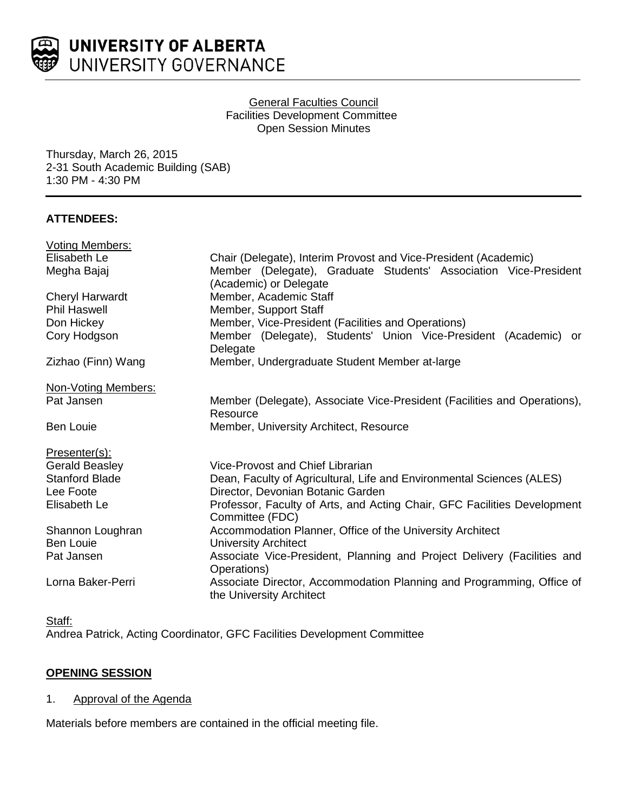

### General Faculties Council Facilities Development Committee Open Session Minutes

Thursday, March 26, 2015 2-31 South Academic Building (SAB) 1:30 PM - 4:30 PM

# **ATTENDEES:**

| <b>Voting Members:</b> |                                                                                                   |
|------------------------|---------------------------------------------------------------------------------------------------|
| Elisabeth Le           | Chair (Delegate), Interim Provost and Vice-President (Academic)                                   |
| Megha Bajaj            | Member (Delegate), Graduate Students' Association Vice-President<br>(Academic) or Delegate        |
| <b>Cheryl Harwardt</b> | Member, Academic Staff                                                                            |
| <b>Phil Haswell</b>    | Member, Support Staff                                                                             |
| Don Hickey             | Member, Vice-President (Facilities and Operations)                                                |
| Cory Hodgson           | Member (Delegate), Students' Union Vice-President (Academic) or<br>Delegate                       |
| Zizhao (Finn) Wang     | Member, Undergraduate Student Member at-large                                                     |
| Non-Voting Members:    |                                                                                                   |
| Pat Jansen             | Member (Delegate), Associate Vice-President (Facilities and Operations),<br>Resource              |
| <b>Ben Louie</b>       | Member, University Architect, Resource                                                            |
| Presenter(s):          |                                                                                                   |
| <b>Gerald Beasley</b>  | Vice-Provost and Chief Librarian                                                                  |
| <b>Stanford Blade</b>  | Dean, Faculty of Agricultural, Life and Environmental Sciences (ALES)                             |
| Lee Foote              | Director, Devonian Botanic Garden                                                                 |
| Elisabeth Le           | Professor, Faculty of Arts, and Acting Chair, GFC Facilities Development<br>Committee (FDC)       |
| Shannon Loughran       | Accommodation Planner, Office of the University Architect                                         |
| <b>Ben Louie</b>       | <b>University Architect</b>                                                                       |
| Pat Jansen             | Associate Vice-President, Planning and Project Delivery (Facilities and<br>Operations)            |
| Lorna Baker-Perri      | Associate Director, Accommodation Planning and Programming, Office of<br>the University Architect |

Staff: Andrea Patrick, Acting Coordinator, GFC Facilities Development Committee

# **OPENING SESSION**

# 1. Approval of the Agenda

Materials before members are contained in the official meeting file.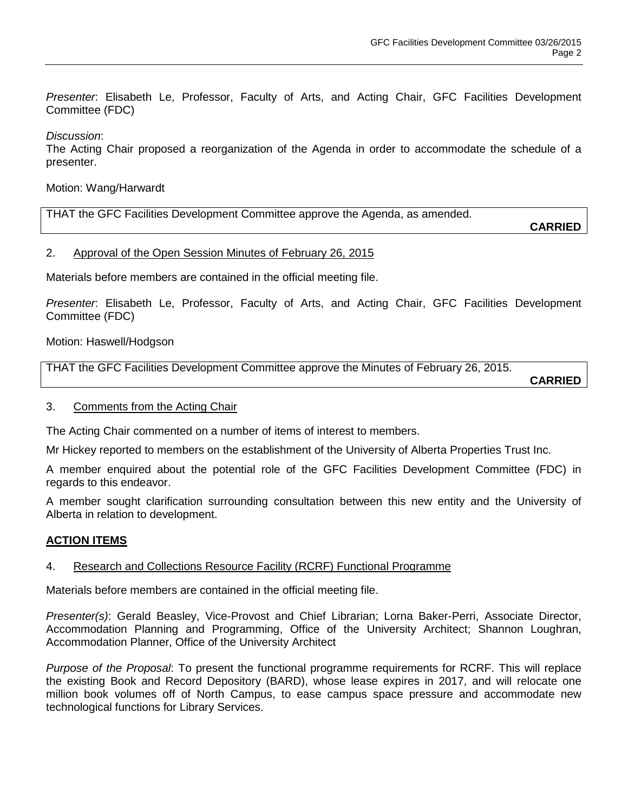*Presenter*: Elisabeth Le, Professor, Faculty of Arts, and Acting Chair, GFC Facilities Development Committee (FDC)

*Discussion*:

The Acting Chair proposed a reorganization of the Agenda in order to accommodate the schedule of a presenter.

### Motion: Wang/Harwardt

THAT the GFC Facilities Development Committee approve the Agenda, as amended.

**CARRIED**

### 2. Approval of the Open Session Minutes of February 26, 2015

Materials before members are contained in the official meeting file.

*Presenter*: Elisabeth Le, Professor, Faculty of Arts, and Acting Chair, GFC Facilities Development Committee (FDC)

Motion: Haswell/Hodgson

THAT the GFC Facilities Development Committee approve the Minutes of February 26, 2015.

**CARRIED**

### 3. Comments from the Acting Chair

The Acting Chair commented on a number of items of interest to members.

Mr Hickey reported to members on the establishment of the University of Alberta Properties Trust Inc.

A member enquired about the potential role of the GFC Facilities Development Committee (FDC) in regards to this endeavor.

A member sought clarification surrounding consultation between this new entity and the University of Alberta in relation to development.

# **ACTION ITEMS**

# 4. Research and Collections Resource Facility (RCRF) Functional Programme

Materials before members are contained in the official meeting file.

*Presenter(s)*: Gerald Beasley, Vice-Provost and Chief Librarian; Lorna Baker-Perri, Associate Director, Accommodation Planning and Programming, Office of the University Architect; Shannon Loughran, Accommodation Planner, Office of the University Architect

*Purpose of the Proposal*: To present the functional programme requirements for RCRF. This will replace the existing Book and Record Depository (BARD), whose lease expires in 2017, and will relocate one million book volumes off of North Campus, to ease campus space pressure and accommodate new technological functions for Library Services.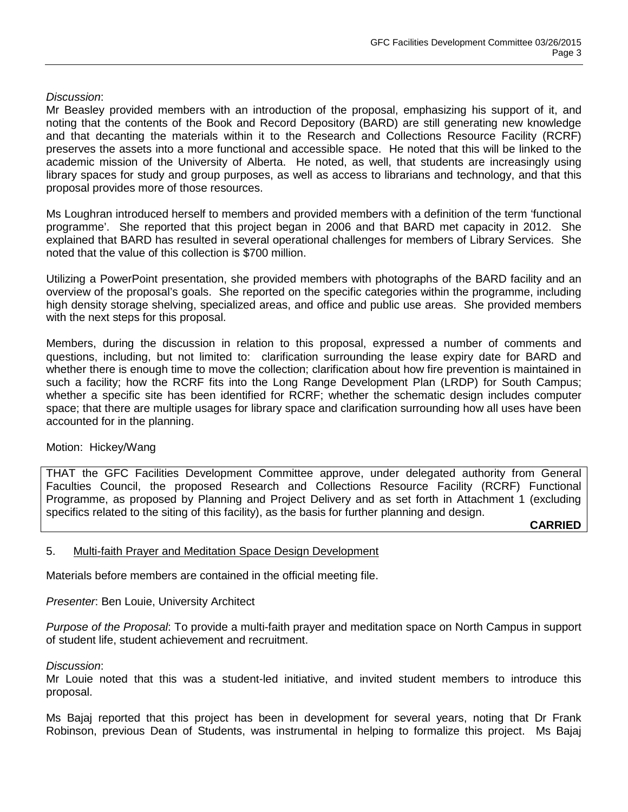### *Discussion*:

Mr Beasley provided members with an introduction of the proposal, emphasizing his support of it, and noting that the contents of the Book and Record Depository (BARD) are still generating new knowledge and that decanting the materials within it to the Research and Collections Resource Facility (RCRF) preserves the assets into a more functional and accessible space. He noted that this will be linked to the academic mission of the University of Alberta. He noted, as well, that students are increasingly using library spaces for study and group purposes, as well as access to librarians and technology, and that this proposal provides more of those resources.

Ms Loughran introduced herself to members and provided members with a definition of the term 'functional programme'. She reported that this project began in 2006 and that BARD met capacity in 2012. She explained that BARD has resulted in several operational challenges for members of Library Services. She noted that the value of this collection is \$700 million.

Utilizing a PowerPoint presentation, she provided members with photographs of the BARD facility and an overview of the proposal's goals. She reported on the specific categories within the programme, including high density storage shelving, specialized areas, and office and public use areas. She provided members with the next steps for this proposal.

Members, during the discussion in relation to this proposal, expressed a number of comments and questions, including, but not limited to: clarification surrounding the lease expiry date for BARD and whether there is enough time to move the collection; clarification about how fire prevention is maintained in such a facility; how the RCRF fits into the Long Range Development Plan (LRDP) for South Campus; whether a specific site has been identified for RCRF; whether the schematic design includes computer space; that there are multiple usages for library space and clarification surrounding how all uses have been accounted for in the planning.

### Motion: Hickey/Wang

THAT the GFC Facilities Development Committee approve, under delegated authority from General Faculties Council, the proposed Research and Collections Resource Facility (RCRF) Functional Programme, as proposed by Planning and Project Delivery and as set forth in Attachment 1 (excluding specifics related to the siting of this facility), as the basis for further planning and design.

**CARRIED**

### 5. Multi-faith Prayer and Meditation Space Design Development

Materials before members are contained in the official meeting file.

*Presenter*: Ben Louie, University Architect

*Purpose of the Proposal*: To provide a multi-faith prayer and meditation space on North Campus in support of student life, student achievement and recruitment.

*Discussion*:

Mr Louie noted that this was a student-led initiative, and invited student members to introduce this proposal.

Ms Bajaj reported that this project has been in development for several years, noting that Dr Frank Robinson, previous Dean of Students, was instrumental in helping to formalize this project. Ms Bajaj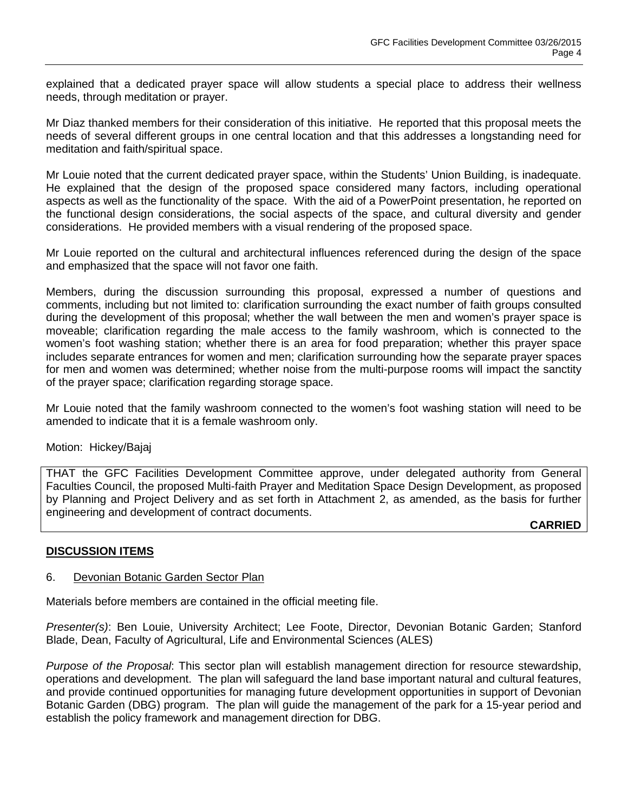explained that a dedicated prayer space will allow students a special place to address their wellness needs, through meditation or prayer.

Mr Diaz thanked members for their consideration of this initiative. He reported that this proposal meets the needs of several different groups in one central location and that this addresses a longstanding need for meditation and faith/spiritual space.

Mr Louie noted that the current dedicated prayer space, within the Students' Union Building, is inadequate. He explained that the design of the proposed space considered many factors, including operational aspects as well as the functionality of the space. With the aid of a PowerPoint presentation, he reported on the functional design considerations, the social aspects of the space, and cultural diversity and gender considerations. He provided members with a visual rendering of the proposed space.

Mr Louie reported on the cultural and architectural influences referenced during the design of the space and emphasized that the space will not favor one faith.

Members, during the discussion surrounding this proposal, expressed a number of questions and comments, including but not limited to: clarification surrounding the exact number of faith groups consulted during the development of this proposal; whether the wall between the men and women's prayer space is moveable; clarification regarding the male access to the family washroom, which is connected to the women's foot washing station; whether there is an area for food preparation; whether this prayer space includes separate entrances for women and men; clarification surrounding how the separate prayer spaces for men and women was determined; whether noise from the multi-purpose rooms will impact the sanctity of the prayer space; clarification regarding storage space.

Mr Louie noted that the family washroom connected to the women's foot washing station will need to be amended to indicate that it is a female washroom only.

Motion: Hickey/Bajaj

THAT the GFC Facilities Development Committee approve, under delegated authority from General Faculties Council, the proposed Multi-faith Prayer and Meditation Space Design Development, as proposed by Planning and Project Delivery and as set forth in Attachment 2, as amended, as the basis for further engineering and development of contract documents.

**CARRIED**

# **DISCUSSION ITEMS**

### 6. Devonian Botanic Garden Sector Plan

Materials before members are contained in the official meeting file.

*Presenter(s)*: Ben Louie, University Architect; Lee Foote, Director, Devonian Botanic Garden; Stanford Blade, Dean, Faculty of Agricultural, Life and Environmental Sciences (ALES)

*Purpose of the Proposal*: This sector plan will establish management direction for resource stewardship, operations and development. The plan will safeguard the land base important natural and cultural features, and provide continued opportunities for managing future development opportunities in support of Devonian Botanic Garden (DBG) program. The plan will guide the management of the park for a 15-year period and establish the policy framework and management direction for DBG.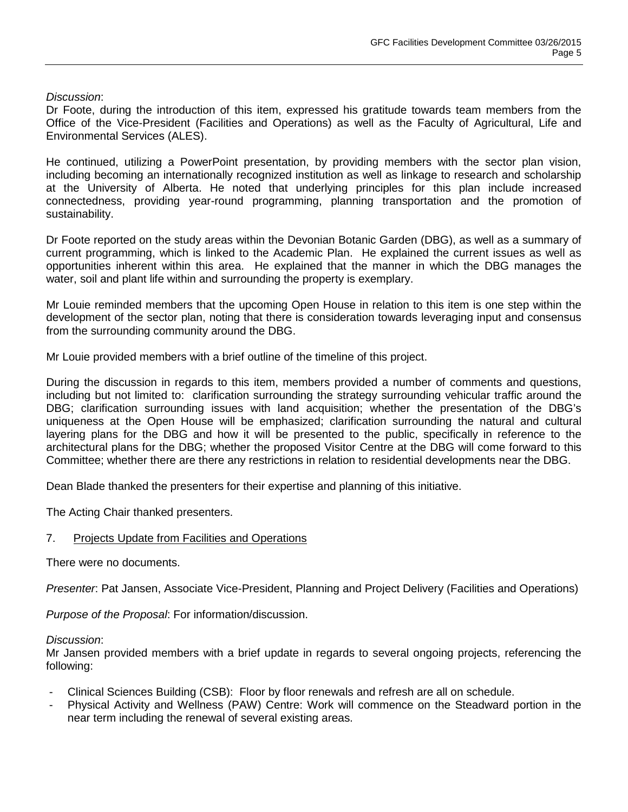### *Discussion*:

Dr Foote, during the introduction of this item, expressed his gratitude towards team members from the Office of the Vice-President (Facilities and Operations) as well as the Faculty of Agricultural, Life and Environmental Services (ALES).

He continued, utilizing a PowerPoint presentation, by providing members with the sector plan vision, including becoming an internationally recognized institution as well as linkage to research and scholarship at the University of Alberta. He noted that underlying principles for this plan include increased connectedness, providing year-round programming, planning transportation and the promotion of sustainability.

Dr Foote reported on the study areas within the Devonian Botanic Garden (DBG), as well as a summary of current programming, which is linked to the Academic Plan. He explained the current issues as well as opportunities inherent within this area. He explained that the manner in which the DBG manages the water, soil and plant life within and surrounding the property is exemplary.

Mr Louie reminded members that the upcoming Open House in relation to this item is one step within the development of the sector plan, noting that there is consideration towards leveraging input and consensus from the surrounding community around the DBG.

Mr Louie provided members with a brief outline of the timeline of this project.

During the discussion in regards to this item, members provided a number of comments and questions, including but not limited to: clarification surrounding the strategy surrounding vehicular traffic around the DBG; clarification surrounding issues with land acquisition; whether the presentation of the DBG's uniqueness at the Open House will be emphasized; clarification surrounding the natural and cultural layering plans for the DBG and how it will be presented to the public, specifically in reference to the architectural plans for the DBG; whether the proposed Visitor Centre at the DBG will come forward to this Committee; whether there are there any restrictions in relation to residential developments near the DBG.

Dean Blade thanked the presenters for their expertise and planning of this initiative.

The Acting Chair thanked presenters.

# 7. Projects Update from Facilities and Operations

There were no documents.

*Presenter*: Pat Jansen, Associate Vice-President, Planning and Project Delivery (Facilities and Operations)

*Purpose of the Proposal*: For information/discussion.

### *Discussion*:

Mr Jansen provided members with a brief update in regards to several ongoing projects, referencing the following:

- Clinical Sciences Building (CSB): Floor by floor renewals and refresh are all on schedule.
- Physical Activity and Wellness (PAW) Centre: Work will commence on the Steadward portion in the near term including the renewal of several existing areas.